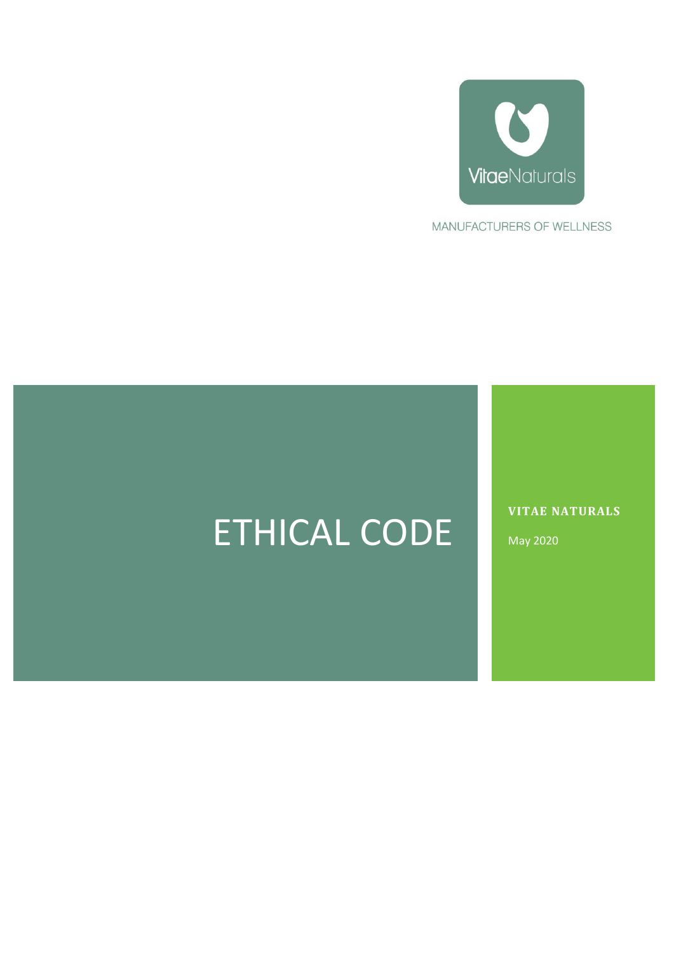

MANUFACTURERS OF WELLNESS

# ETHICAL CODE

**VITAE NATURALS**

May 2020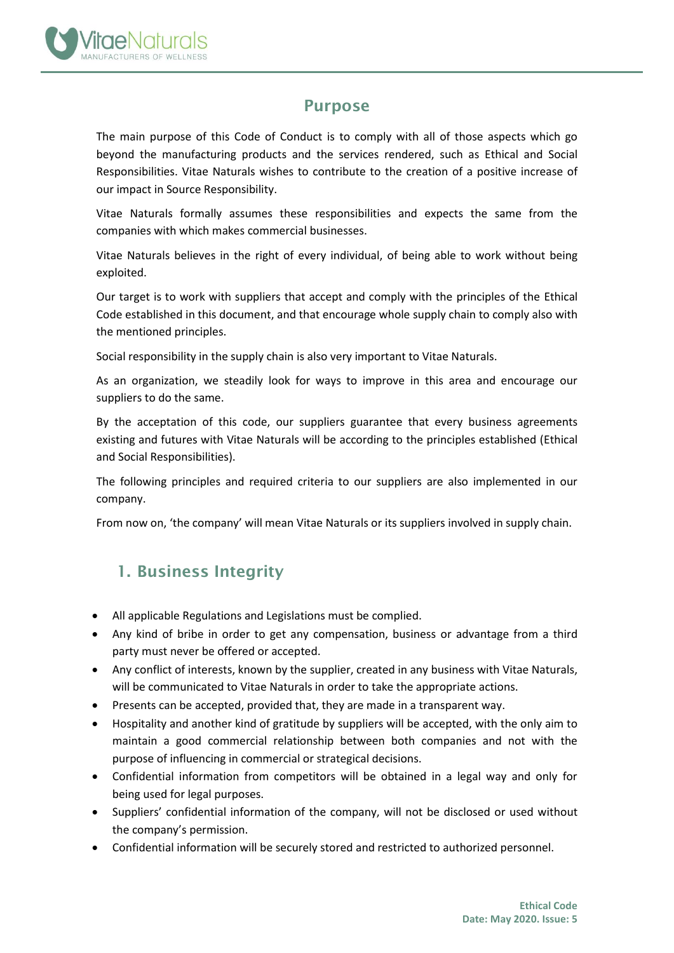

#### Purpose

The main purpose of this Code of Conduct is to comply with all of those aspects which go beyond the manufacturing products and the services rendered, such as Ethical and Social Responsibilities. Vitae Naturals wishes to contribute to the creation of a positive increase of our impact in Source Responsibility.

Vitae Naturals formally assumes these responsibilities and expects the same from the companies with which makes commercial businesses.

Vitae Naturals believes in the right of every individual, of being able to work without being exploited.

Our target is to work with suppliers that accept and comply with the principles of the Ethical Code established in this document, and that encourage whole supply chain to comply also with the mentioned principles.

Social responsibility in the supply chain is also very important to Vitae Naturals.

As an organization, we steadily look for ways to improve in this area and encourage our suppliers to do the same.

By the acceptation of this code, our suppliers guarantee that every business agreements existing and futures with Vitae Naturals will be according to the principles established (Ethical and Social Responsibilities).

The following principles and required criteria to our suppliers are also implemented in our company.

From now on, 'the company' will mean Vitae Naturals or its suppliers involved in supply chain.

### 1. Business Integrity

- All applicable Regulations and Legislations must be complied.
- Any kind of bribe in order to get any compensation, business or advantage from a third party must never be offered or accepted.
- Any conflict of interests, known by the supplier, created in any business with Vitae Naturals, will be communicated to Vitae Naturals in order to take the appropriate actions.
- Presents can be accepted, provided that, they are made in a transparent way.
- Hospitality and another kind of gratitude by suppliers will be accepted, with the only aim to maintain a good commercial relationship between both companies and not with the purpose of influencing in commercial or strategical decisions.
- Confidential information from competitors will be obtained in a legal way and only for being used for legal purposes.
- Suppliers' confidential information of the company, will not be disclosed or used without the company's permission.
- Confidential information will be securely stored and restricted to authorized personnel.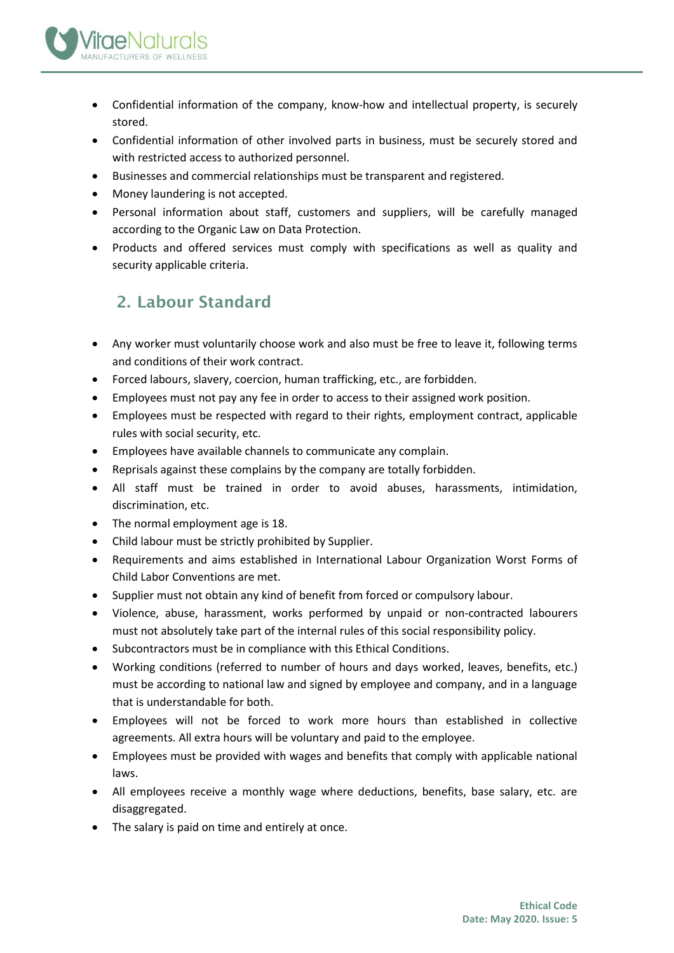

- Confidential information of the company, know-how and intellectual property, is securely stored.
- Confidential information of other involved parts in business, must be securely stored and with restricted access to authorized personnel.
- Businesses and commercial relationships must be transparent and registered.
- Money laundering is not accepted.
- Personal information about staff, customers and suppliers, will be carefully managed according to the Organic Law on Data Protection.
- Products and offered services must comply with specifications as well as quality and security applicable criteria.

# 2. Labour Standard

- Any worker must voluntarily choose work and also must be free to leave it, following terms and conditions of their work contract.
- Forced labours, slavery, coercion, human trafficking, etc., are forbidden.
- Employees must not pay any fee in order to access to their assigned work position.
- Employees must be respected with regard to their rights, employment contract, applicable rules with social security, etc.
- Employees have available channels to communicate any complain.
- Reprisals against these complains by the company are totally forbidden.
- All staff must be trained in order to avoid abuses, harassments, intimidation, discrimination, etc.
- The normal employment age is 18.
- Child labour must be strictly prohibited by Supplier.
- Requirements and aims established in International Labour Organization Worst Forms of Child Labor Conventions are met.
- Supplier must not obtain any kind of benefit from forced or compulsory labour.
- Violence, abuse, harassment, works performed by unpaid or non-contracted labourers must not absolutely take part of the internal rules of this social responsibility policy.
- Subcontractors must be in compliance with this Ethical Conditions.
- Working conditions (referred to number of hours and days worked, leaves, benefits, etc.) must be according to national law and signed by employee and company, and in a language that is understandable for both.
- Employees will not be forced to work more hours than established in collective agreements. All extra hours will be voluntary and paid to the employee.
- Employees must be provided with wages and benefits that comply with applicable national laws.
- All employees receive a monthly wage where deductions, benefits, base salary, etc. are disaggregated.
- The salary is paid on time and entirely at once.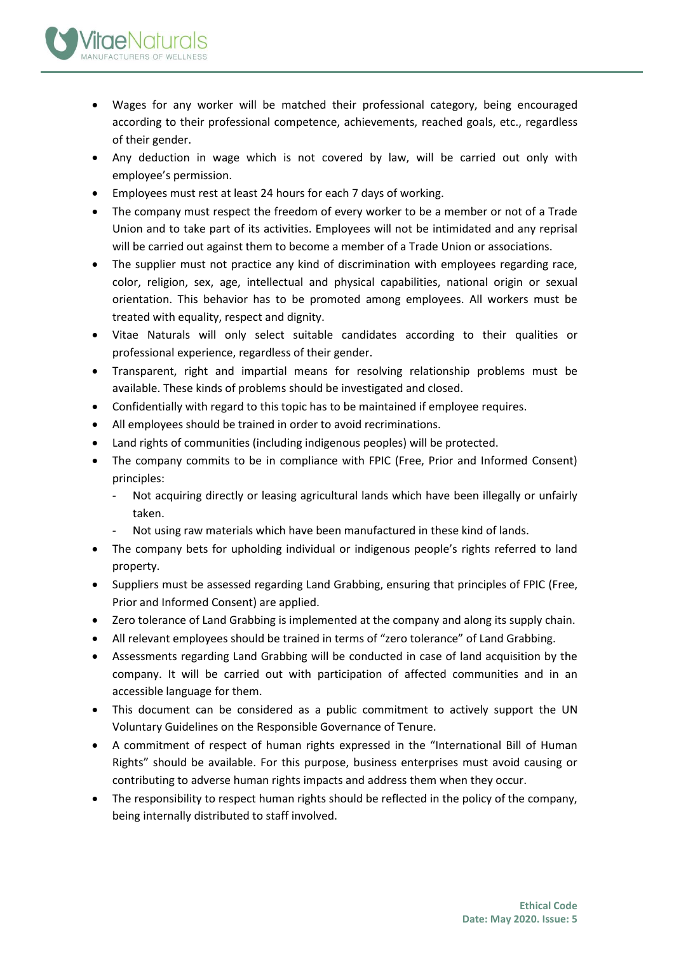

- Wages for any worker will be matched their professional category, being encouraged according to their professional competence, achievements, reached goals, etc., regardless of their gender.
- Any deduction in wage which is not covered by law, will be carried out only with employee's permission.
- Employees must rest at least 24 hours for each 7 days of working.
- The company must respect the freedom of every worker to be a member or not of a Trade Union and to take part of its activities. Employees will not be intimidated and any reprisal will be carried out against them to become a member of a Trade Union or associations.
- The supplier must not practice any kind of discrimination with employees regarding race, color, religion, sex, age, intellectual and physical capabilities, national origin or sexual orientation. This behavior has to be promoted among employees. All workers must be treated with equality, respect and dignity.
- Vitae Naturals will only select suitable candidates according to their qualities or professional experience, regardless of their gender.
- Transparent, right and impartial means for resolving relationship problems must be available. These kinds of problems should be investigated and closed.
- Confidentially with regard to this topic has to be maintained if employee requires.
- All employees should be trained in order to avoid recriminations.
- Land rights of communities (including indigenous peoples) will be protected.
- The company commits to be in compliance with FPIC (Free, Prior and Informed Consent) principles:
	- Not acquiring directly or leasing agricultural lands which have been illegally or unfairly taken.
	- Not using raw materials which have been manufactured in these kind of lands.
- The company bets for upholding individual or indigenous people's rights referred to land property.
- Suppliers must be assessed regarding Land Grabbing, ensuring that principles of FPIC (Free, Prior and Informed Consent) are applied.
- Zero tolerance of Land Grabbing is implemented at the company and along its supply chain.
- All relevant employees should be trained in terms of "zero tolerance" of Land Grabbing.
- Assessments regarding Land Grabbing will be conducted in case of land acquisition by the company. It will be carried out with participation of affected communities and in an accessible language for them.
- This document can be considered as a public commitment to actively support the UN Voluntary Guidelines on the Responsible Governance of Tenure.
- A commitment of respect of human rights expressed in the "International Bill of Human Rights" should be available. For this purpose, business enterprises must avoid causing or contributing to adverse human rights impacts and address them when they occur.
- The responsibility to respect human rights should be reflected in the policy of the company, being internally distributed to staff involved.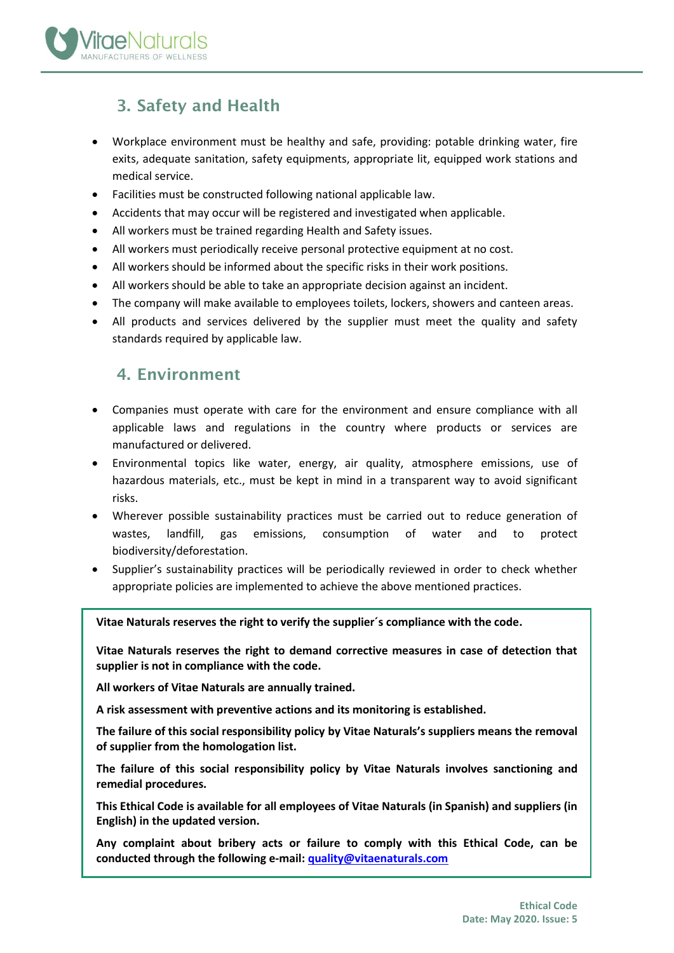

## 3. Safety and Health

- Workplace environment must be healthy and safe, providing: potable drinking water, fire exits, adequate sanitation, safety equipments, appropriate lit, equipped work stations and medical service.
- Facilities must be constructed following national applicable law.
- Accidents that may occur will be registered and investigated when applicable.
- All workers must be trained regarding Health and Safety issues.
- All workers must periodically receive personal protective equipment at no cost.
- All workers should be informed about the specific risks in their work positions.
- All workers should be able to take an appropriate decision against an incident.
- The company will make available to employees toilets, lockers, showers and canteen areas.
- All products and services delivered by the supplier must meet the quality and safety standards required by applicable law.

## 4. Environment

- Companies must operate with care for the environment and ensure compliance with all applicable laws and regulations in the country where products or services are manufactured or delivered.
- Environmental topics like water, energy, air quality, atmosphere emissions, use of hazardous materials, etc., must be kept in mind in a transparent way to avoid significant risks.
- Wherever possible sustainability practices must be carried out to reduce generation of wastes, landfill, gas emissions, consumption of water and to protect biodiversity/deforestation.
- Supplier's sustainability practices will be periodically reviewed in order to check whether appropriate policies are implemented to achieve the above mentioned practices.

**Vitae Naturals reserves the right to verify the supplier´s compliance with the code.**

**Vitae Naturals reserves the right to demand corrective measures in case of detection that supplier is not in compliance with the code.**

**All workers of Vitae Naturals are annually trained.**

**A risk assessment with preventive actions and its monitoring is established.** 

**The failure of this social responsibility policy by Vitae Naturals's suppliers means the removal of supplier from the homologation list.**

**The failure of this social responsibility policy by Vitae Naturals involves sanctioning and remedial procedures.** 

**This Ethical Code is available for all employees of Vitae Naturals (in Spanish) and suppliers (in English) in the updated version.** 

**Any complaint about bribery acts or failure to comply with this Ethical Code, can be conducted through the following e-mail: [quality@vitaenaturals.com](mailto:quality@vitaenaturals.com)**